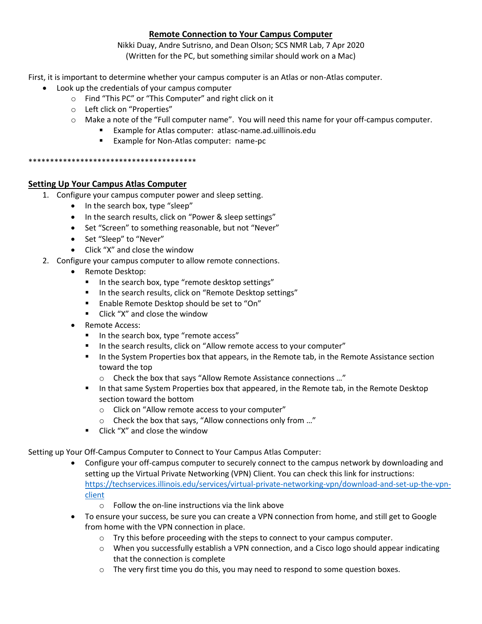# **Remote Connection to Your Campus Computer**

Nikki Duay, Andre Sutrisno, and Dean Olson; SCS NMR Lab, 7 Apr 2020 (Written for the PC, but something similar should work on a Mac)

First, it is important to determine whether your campus computer is an Atlas or non-Atlas computer.

- Look up the credentials of your campus computer
	- o Find "This PC" or "This Computer" and right click on it
	- o Left click on "Properties"
	- $\circ$  Make a note of the "Full computer name". You will need this name for your off-campus computer.
		- Example for Atlas computer: atlasc-name.ad.uillinois.edu
		- **Example for Non-Atlas computer: name-pc**

#### \*\*\*\*\*\*\*\*\*\*\*\*\*\*\*\*\*\*\*\*\*\*\*\*\*\*\*\*\*\*\*\*\*\*\*\*\*\*\*

# **Setting Up Your Campus Atlas Computer**

- 1. Configure your campus computer power and sleep setting.
	- In the search box, type "sleep"
	- In the search results, click on "Power & sleep settings"
	- Set "Screen" to something reasonable, but not "Never"
	- Set "Sleep" to "Never"
	- Click "X" and close the window
- 2. Configure your campus computer to allow remote connections.
	- Remote Desktop:
		- In the search box, type "remote desktop settings"
		- In the search results, click on "Remote Desktop settings"
		- **Enable Remote Desktop should be set to "On"**
		- Click "X" and close the window
	- Remote Access:
		- In the search box, type "remote access"
		- In the search results, click on "Allow remote access to your computer"
		- In the System Properties box that appears, in the Remote tab, in the Remote Assistance section toward the top
			- o Check the box that says "Allow Remote Assistance connections …"
		- In that same System Properties box that appeared, in the Remote tab, in the Remote Desktop section toward the bottom
			- o Click on "Allow remote access to your computer"
			- o Check the box that says, "Allow connections only from …"
		- $\blacksquare$  Click "X" and close the window

Setting up Your Off-Campus Computer to Connect to Your Campus Atlas Computer:

- Configure your off-campus computer to securely connect to the campus network by downloading and setting up the Virtual Private Networking (VPN) Client. You can check this link for instructions: [https://techservices.illinois.edu/services/virtual-private-networking-vpn/download-and-set-up-the-vpn](https://techservices.illinois.edu/services/virtual-private-networking-vpn/download-and-set-up-the-vpn-client)[client](https://techservices.illinois.edu/services/virtual-private-networking-vpn/download-and-set-up-the-vpn-client)
	- $\circ$  Follow the on-line instructions via the link above
- To ensure your success, be sure you can create a VPN connection from home, and still get to Google from home with the VPN connection in place.
	- $\circ$  Try this before proceeding with the steps to connect to your campus computer.
	- $\circ$  When you successfully establish a VPN connection, and a Cisco logo should appear indicating that the connection is complete
	- $\circ$  The very first time you do this, you may need to respond to some question boxes.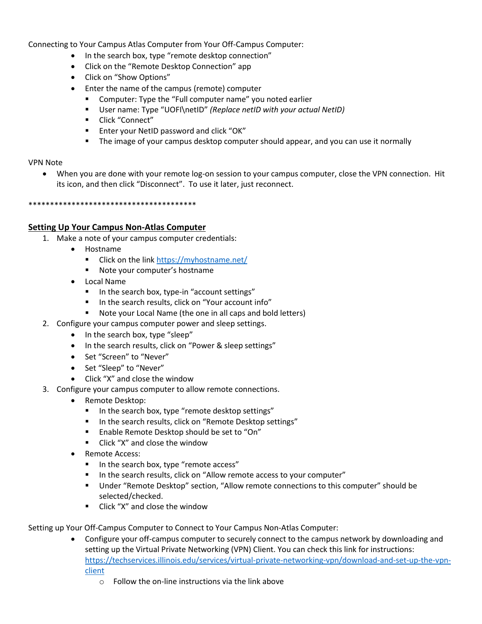Connecting to Your Campus Atlas Computer from Your Off-Campus Computer:

- In the search box, type "remote desktop connection"
- Click on the "Remote Desktop Connection" app
- Click on "Show Options"
- Enter the name of the campus (remote) computer
	- Computer: Type the "Full computer name" you noted earlier
	- User name: Type "UOFI\netID" *(Replace netID with your actual NetID)*
	- Click "Connect"
	- **Enter your NetID password and click "OK"**
	- The image of your campus desktop computer should appear, and you can use it normally

## VPN Note

 When you are done with your remote log-on session to your campus computer, close the VPN connection. Hit its icon, and then click "Disconnect". To use it later, just reconnect.

\*\*\*\*\*\*\*\*\*\*\*\*\*\*\*\*\*\*\*\*\*\*\*\*\*\*\*\*\*\*\*\*\*\*\*\*\*\*\*

### **Setting Up Your Campus Non-Atlas Computer**

- 1. Make a note of your campus computer credentials:
	- Hostname
		- Click on the link<https://myhostname.net/>
		- **Note your computer's hostname**
	- Local Name
		- In the search box, type-in "account settings"
		- In the search results, click on "Your account info"
		- Note your Local Name (the one in all caps and bold letters)
- 2. Configure your campus computer power and sleep settings.
	- In the search box, type "sleep"
	- In the search results, click on "Power & sleep settings"
	- Set "Screen" to "Never"
	- Set "Sleep" to "Never"
	- Click "X" and close the window
- 3. Configure your campus computer to allow remote connections.
	- Remote Desktop:
		- In the search box, type "remote desktop settings"
		- In the search results, click on "Remote Desktop settings"
		- **Enable Remote Desktop should be set to "On"**
		- **EXECL** "X" and close the window
	- Remote Access:
		- In the search box, type "remote access"
		- In the search results, click on "Allow remote access to your computer"
		- Under "Remote Desktop" section, "Allow remote connections to this computer" should be selected/checked.
		- **EXECL** Click "X" and close the window

Setting up Your Off-Campus Computer to Connect to Your Campus Non-Atlas Computer:

- Configure your off-campus computer to securely connect to the campus network by downloading and setting up the Virtual Private Networking (VPN) Client. You can check this link for instructions: [https://techservices.illinois.edu/services/virtual-private-networking-vpn/download-and-set-up-the-vpn](https://techservices.illinois.edu/services/virtual-private-networking-vpn/download-and-set-up-the-vpn-client)[client](https://techservices.illinois.edu/services/virtual-private-networking-vpn/download-and-set-up-the-vpn-client)
	- $\circ$  Follow the on-line instructions via the link above